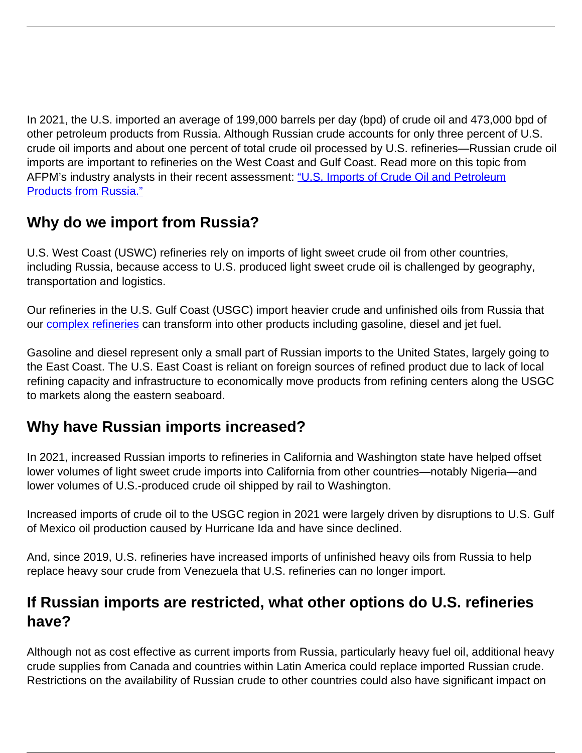In 2021, the U.S. imported an average of 199,000 barrels per day (bpd) of crude oil and 473,000 bpd of other petroleum products from Russia. Although Russian crude accounts for only three percent of U.S. crude oil imports and about one percent of total crude oil processed by U.S. refineries—Russian crude oil imports are important to refineries on the West Coast and Gulf Coast. Read more on this topic from AFPM's industry analysts in their recent assessment: ["U.S. Imports of Crude Oil and Petroleum](https://www.afpm.org/sites/default/files/issue_resources/U.S.%20Imports%20of%20Oil%20%26%20Petroleum%20from%20Russia.pdf) [Products from Russia."](https://www.afpm.org/sites/default/files/issue_resources/U.S.%20Imports%20of%20Oil%20%26%20Petroleum%20from%20Russia.pdf)

## **Why do we import from Russia?**

U.S. West Coast (USWC) refineries rely on imports of light sweet crude oil from other countries, including Russia, because access to U.S. produced light sweet crude oil is challenged by geography, transportation and logistics.

Our refineries in the U.S. Gulf Coast (USGC) import heavier crude and unfinished oils from Russia that our [complex refineries](https://www.afpm.org/newsroom/infographic/why-access-global-markets-essential-us-refiners-consumers) can transform into other products including gasoline, diesel and jet fuel.

Gasoline and diesel represent only a small part of Russian imports to the United States, largely going to the East Coast. The U.S. East Coast is reliant on foreign sources of refined product due to lack of local refining capacity and infrastructure to economically move products from refining centers along the USGC to markets along the eastern seaboard.

## **Why have Russian imports increased?**

In 2021, increased Russian imports to refineries in California and Washington state have helped offset lower volumes of light sweet crude imports into California from other countries—notably Nigeria—and lower volumes of U.S.-produced crude oil shipped by rail to Washington.

Increased imports of crude oil to the USGC region in 2021 were largely driven by disruptions to U.S. Gulf of Mexico oil production caused by Hurricane Ida and have since declined.

And, since 2019, U.S. refineries have increased imports of unfinished heavy oils from Russia to help replace heavy sour crude from Venezuela that U.S. refineries can no longer import.

## **If Russian imports are restricted, what other options do U.S. refineries have?**

Although not as cost effective as current imports from Russia, particularly heavy fuel oil, additional heavy crude supplies from Canada and countries within Latin America could replace imported Russian crude. Restrictions on the availability of Russian crude to other countries could also have significant impact on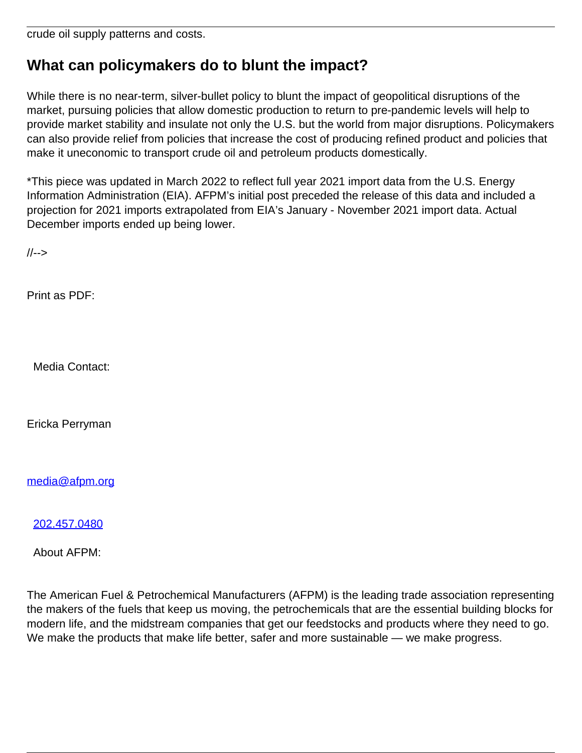crude oil supply patterns and costs.

## **What can policymakers do to blunt the impact?**

While there is no near-term, silver-bullet policy to blunt the impact of geopolitical disruptions of the market, pursuing policies that allow domestic production to return to pre-pandemic levels will help to provide market stability and insulate not only the U.S. but the world from major disruptions. Policymakers can also provide relief from policies that increase the cost of producing refined product and policies that make it uneconomic to transport crude oil and petroleum products domestically.

\*This piece was updated in March 2022 to reflect full year 2021 import data from the U.S. Energy Information Administration (EIA). AFPM's initial post preceded the release of this data and included a projection for 2021 imports extrapolated from EIA's January - November 2021 import data. Actual December imports ended up being lower.

//-->

Print as PDF:

Media Contact:

Ericka Perryman

[media@afpm.org](mailto:media@afpm.org)

[202.457.0480](tel:202.457.0480)

About AFPM:

The American Fuel & Petrochemical Manufacturers (AFPM) is the leading trade association representing the makers of the fuels that keep us moving, the petrochemicals that are the essential building blocks for modern life, and the midstream companies that get our feedstocks and products where they need to go. We make the products that make life better, safer and more sustainable — we make progress.